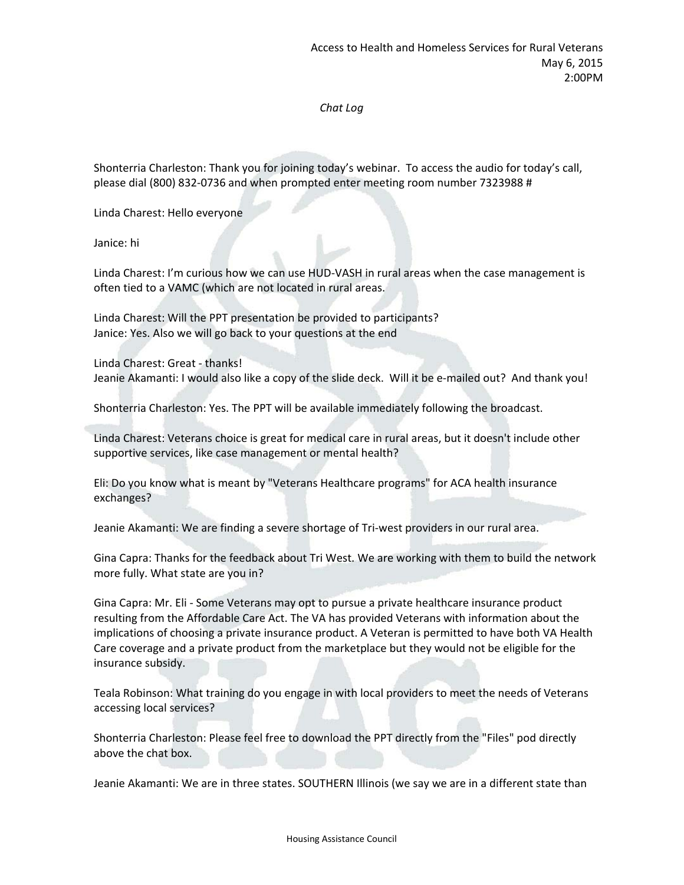## *Chat Log*

Shonterria Charleston: Thank you for joining today's webinar. To access the audio for today's call, please dial (800) 832-0736 and when prompted enter meeting room number 7323988 #

Linda Charest: Hello everyone

Janice: hi

Linda Charest: I'm curious how we can use HUD‐VASH in rural areas when the case management is often tied to a VAMC (which are not located in rural areas.

Linda Charest: Will the PPT presentation be provided to participants? Janice: Yes. Also we will go back to your questions at the end

Linda Charest: Great ‐ thanks! Jeanie Akamanti: I would also like a copy of the slide deck. Will it be e-mailed out? And thank you!

Shonterria Charleston: Yes. The PPT will be available immediately following the broadcast.

Linda Charest: Veterans choice is great for medical care in rural areas, but it doesn't include other supportive services, like case management or mental health?

Eli: Do you know what is meant by "Veterans Healthcare programs" for ACA health insurance exchanges?

Jeanie Akamanti: We are finding a severe shortage of Tri‐west providers in our rural area.

Gina Capra: Thanks for the feedback about Tri West. We are working with them to build the network more fully. What state are you in?

Gina Capra: Mr. Eli ‐ Some Veterans may opt to pursue a private healthcare insurance product resulting from the Affordable Care Act. The VA has provided Veterans with information about the implications of choosing a private insurance product. A Veteran is permitted to have both VA Health Care coverage and a private product from the marketplace but they would not be eligible for the insurance subsidy.

Teala Robinson: What training do you engage in with local providers to meet the needs of Veterans accessing local services?

Shonterria Charleston: Please feel free to download the PPT directly from the "Files" pod directly above the chat box.

Jeanie Akamanti: We are in three states. SOUTHERN Illinois (we say we are in a different state than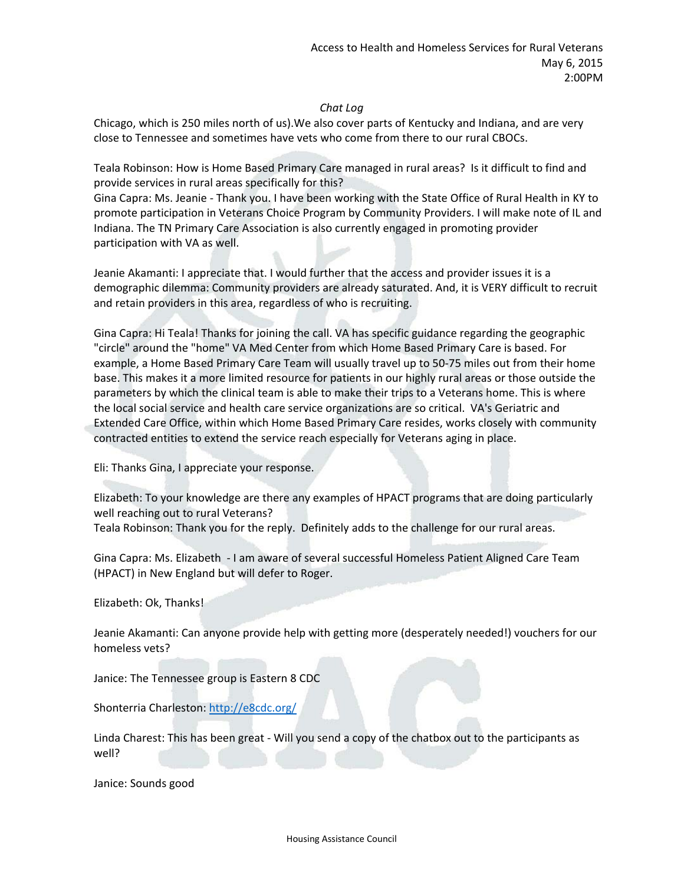## *Chat Log*

Chicago, which is 250 miles north of us).We also cover parts of Kentucky and Indiana, and are very close to Tennessee and sometimes have vets who come from there to our rural CBOCs.

Teala Robinson: How is Home Based Primary Care managed in rural areas? Is it difficult to find and provide services in rural areas specifically for this?

Gina Capra: Ms. Jeanie ‐ Thank you. I have been working with the State Office of Rural Health in KY to promote participation in Veterans Choice Program by Community Providers. I will make note of IL and Indiana. The TN Primary Care Association is also currently engaged in promoting provider participation with VA as well.

Jeanie Akamanti: I appreciate that. I would further that the access and provider issues it is a demographic dilemma: Community providers are already saturated. And, it is VERY difficult to recruit and retain providers in this area, regardless of who is recruiting.

Gina Capra: Hi Teala! Thanks for joining the call. VA has specific guidance regarding the geographic "circle" around the "home" VA Med Center from which Home Based Primary Care is based. For example, a Home Based Primary Care Team will usually travel up to 50‐75 miles out from their home base. This makes it a more limited resource for patients in our highly rural areas or those outside the parameters by which the clinical team is able to make their trips to a Veterans home. This is where the local social service and health care service organizations are so critical. VA's Geriatric and Extended Care Office, within which Home Based Primary Care resides, works closely with community contracted entities to extend the service reach especially for Veterans aging in place.

Eli: Thanks Gina, I appreciate your response.

Elizabeth: To your knowledge are there any examples of HPACT programs that are doing particularly well reaching out to rural Veterans?

Teala Robinson: Thank you for the reply. Definitely adds to the challenge for our rural areas.

Gina Capra: Ms. Elizabeth ‐ I am aware of several successful Homeless Patient Aligned Care Team (HPACT) in New England but will defer to Roger.

Elizabeth: Ok, Thanks!

Jeanie Akamanti: Can anyone provide help with getting more (desperately needed!) vouchers for our homeless vets?

Janice: The Tennessee group is Eastern 8 CDC

Shonterria Charleston: http://e8cdc.org/

Linda Charest: This has been great ‐ Will you send a copy of the chatbox out to the participants as well?

Janice: Sounds good